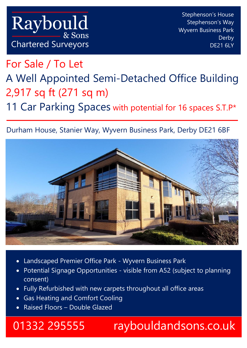For Sale / To Let A Well Appointed Semi-Detached Office Building 2,917 sq ft (271 sq m) 11 Car Parking Spaces with potential for 16 spaces S.T.P\*

## Durham House, Stanier Way, Wyvern Business Park, Derby DE21 6BF



- Landscaped Premier Office Park Wyvern Business Park
- Potential Signage Opportunities visible from A52 (subject to planning consent)
- Fully Refurbished with new carpets throughout all office areas
- Gas Heating and Comfort Cooling
- Raised Floors Double Glazed

# 01332 295555 raybouldandsons.co.uk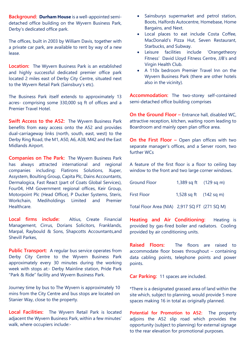**Background: Durham House** is a well-appointed semidetached office building on the Wyvern Business Park, Derby's dedicated office park.

The offices, built in 2003 by William Davis, together with a private car park, are available to rent by way of a new lease.

**Location:** The Wyvern Business Park is an established and highly successful dedicated premier office park located 2 miles east of Derby City Centre, situated next to the Wyvern Retail Park (Sainsbury's etc).

The Business Park itself extends to approximately 13 acres- comprising some 330,000 sq ft of offices and a Premier Travel Hotel.

**Swift Access to the A52:** The Wyvern Business Park benefits from easy access onto the A52 and provides dual-carriageway links (north, south, east, west) to the Derby Ring Road, the M1, A50, A6, A38, M42 and the East Midlands Airport.

**Companies on The Park:** The Wyvern Business Park has always attracted international and regional companies including: Flatirons Solutions, Xuper, Assystem, Boulting Group, Capita Plc, Dains Accountants, Dermalogica, Fast React (part of Coats Global Services), Four04, HM Government regional offices, Keir Group, Motorpoint Plc (Head Office), P Ducker Systems, Steris, Workchain, Mediholdings Limited and Premier **Healthcare** 

**Local firms include:** Altius, Create Financial Management, Cirrus, Dorians Solicitors, Franklands, Marpal, Raybould & Sons, Shapcotts Accountants,and Shevill Parkes,

**Public Transport:** A regular bus service operates from Derby City Centre to the Wyvern Business Park approximately every 30 minutes during the working week with stops at:- Derby Mainline station, Pride Park "Park & Ride" facility and Wyvern Business Park.

Journey time by bus to The Wyvern is approximately 10 mins from the City Centre and bus stops are located on Stanier Way, close to the property.

**Local Facilities:** The Wyvern Retail Park is located adjacent the Wyvern Business Park, within a few minutes' walk, where occupiers include:-

- Sainsburys supermarket and petrol station, Boots, Halfords Autocentre, Homebase, Home Bargains, and Next.
- Local places to eat include Costa Coffee, MacDonald's Pizza Hut, Seven Restaurant, Starbucks, and Subway.
- Leisure facilities include 'Orangetheory Fitness' David Lloyd Fitness Centre, JJB's and Virgin Health Club.
- A 110x bedroom Premier Travel Inn on the Wyvern Business Park (there are other hotels also in the vicinity).

**Accommodation:** The two-storey self-contained semi-detached office building comprises

**On the Ground Floor –** Entrance hall, disabled WC, attractive reception, kitchen, waiting room leading to Boardroom and mainly open plan office area.

**On the First Floor -** Open plan offices with two separate manager's offices, and a Server room, two further WCs

A feature of the first floor is a floor to ceiling bay window to the front and two large corner windows.

| <b>Ground Floor</b>                           | 1,389 sq ft $(129 \text{ sq m})$ |  |
|-----------------------------------------------|----------------------------------|--|
| <b>First Floor</b>                            | 1,528 sq ft $(142 \text{ sq m})$ |  |
| Total Floor Area (NIA) 2,917 SQ FT (271 SQ M) |                                  |  |

**Heating and Air Conditioning:** Heating is provided by gas-fired boiler and radiators. Cooling provided by air conditioning units.

**Raised Floors:** The floors are raised to accommodate floor boxes throughout – containing data cabling points, telephone points and power points.

**Car Parking:** 11 spaces are included.

\*There is a designated grassed area of land within the site which, subject to planning, would provide 5 more spaces making 16 in total as originally planned.

**Potential for Promotion to A52:** The property adjoins the A52 slip road which provides the opportunity (subject to planning) for external signage to the rear elevation for promotional purposes.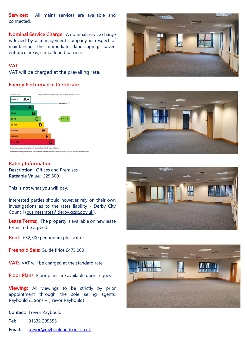**Services:** All mains services are available and connected.

**Nominal Service Charge:** A nominal service charge is levied by a management company in respect of maintaining the immediate landscaping, paved entrance areas, car park and barriers.

### **VAT**

VAT will be charged at the prevailing rate.

### **Energy Performance Certificate**



<sup>.&</sup>lt;br>Properties are also given a score. The larger the number, the more carbon dioxide (CO2) your property is likely to emi

### **Rating Information:**

**Description:** Offices and Premises **Rateable Value**: £29,500

**This is not what you will pay.** 

Interested parties should however rely on their own investigations as to the rates liability - Derby City Council [\(businessrates@derby.gcsx.gov.uk\)](mailto:businessrates@derby.gcsx.gov.uk).

**Lease Terms:** The property is available on new lease terms to be agreed.

**Rent:** £32,500 per annum plus vat or

**Freehold Sale:** Guide Price £475,000

**VAT:** VAT will be charged at the standard rate.

**Floor Plans:** Floor plans are available upon request.

**Viewing:** All viewings to be strictly by prior appointment through the sole selling agents, Raybould & Sons – (Trevor Raybould)

**Contact:** Trevor Raybould

**Tel:** 01332 295555

Email: [trevor@raybouldandsons.co.uk](mailto:trevor@raybouldandsons.co.uk)